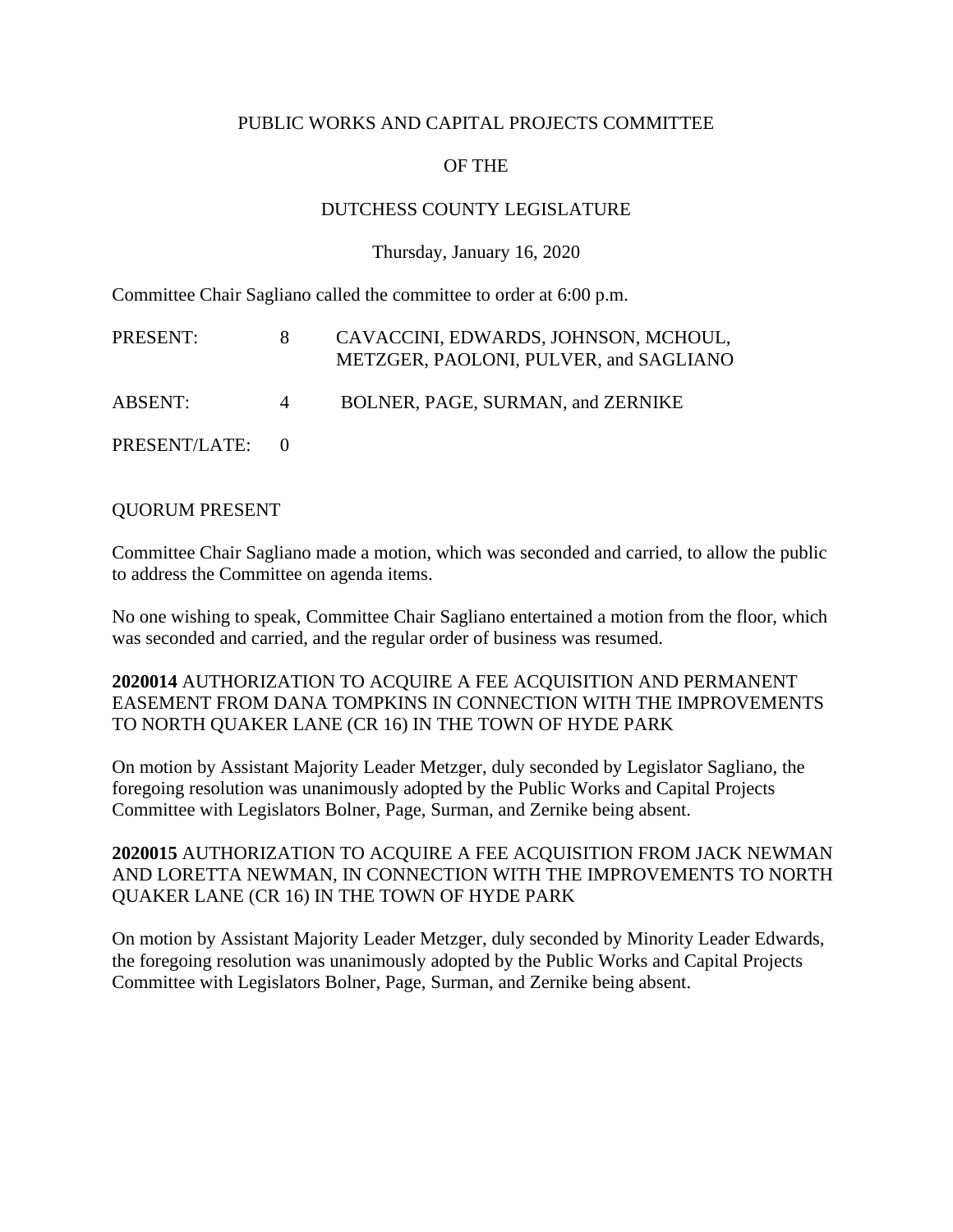### PUBLIC WORKS AND CAPITAL PROJECTS COMMITTEE

# OF THE

# DUTCHESS COUNTY LEGISLATURE

#### Thursday, January 16, 2020

Committee Chair Sagliano called the committee to order at 6:00 p.m.

| PRESENT:        |                | CAVACCINI, EDWARDS, JOHNSON, MCHOUL,<br>METZGER, PAOLONI, PULVER, and SAGLIANO |
|-----------------|----------------|--------------------------------------------------------------------------------|
| ABSENT:         | $\overline{4}$ | BOLNER, PAGE, SURMAN, and ZERNIKE                                              |
| PRESENT/LATE: 0 |                |                                                                                |

#### QUORUM PRESENT

Committee Chair Sagliano made a motion, which was seconded and carried, to allow the public to address the Committee on agenda items.

No one wishing to speak, Committee Chair Sagliano entertained a motion from the floor, which was seconded and carried, and the regular order of business was resumed.

**2020014** AUTHORIZATION TO ACQUIRE A FEE ACQUISITION AND PERMANENT EASEMENT FROM DANA TOMPKINS IN CONNECTION WITH THE IMPROVEMENTS TO NORTH QUAKER LANE (CR 16) IN THE TOWN OF HYDE PARK

On motion by Assistant Majority Leader Metzger, duly seconded by Legislator Sagliano, the foregoing resolution was unanimously adopted by the Public Works and Capital Projects Committee with Legislators Bolner, Page, Surman, and Zernike being absent.

**2020015** AUTHORIZATION TO ACQUIRE A FEE ACQUISITION FROM JACK NEWMAN AND LORETTA NEWMAN, IN CONNECTION WITH THE IMPROVEMENTS TO NORTH QUAKER LANE (CR 16) IN THE TOWN OF HYDE PARK

On motion by Assistant Majority Leader Metzger, duly seconded by Minority Leader Edwards, the foregoing resolution was unanimously adopted by the Public Works and Capital Projects Committee with Legislators Bolner, Page, Surman, and Zernike being absent.